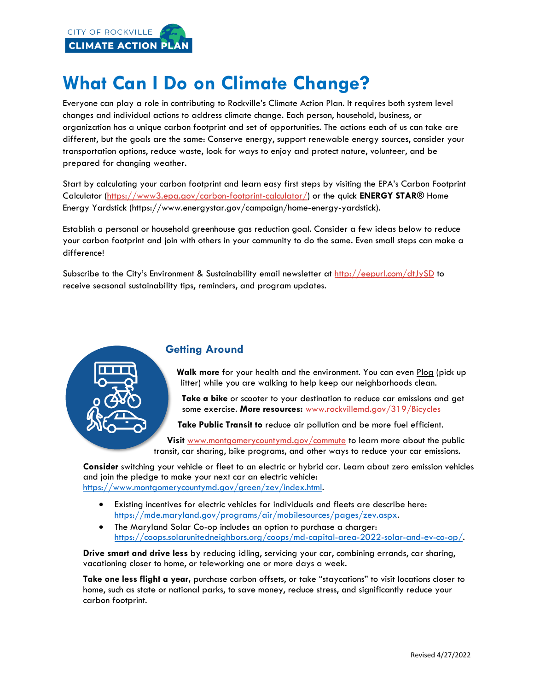

# **What Can I Do on Climate Change?**

Everyone can play a role in contributing to Rockville's Climate Action Plan. It requires both system level changes and individual actions to address climate change. Each person, household, business, or organization has a unique carbon footprint and set of opportunities. The actions each of us can take are different, but the goals are the same: Conserve energy, support renewable energy sources, consider your transportation options, reduce waste, look for ways to enjoy and protect nature, volunteer, and be prepared for changing weather.

Start by calculating your carbon footprint and learn easy first steps by visiting the EPA's Carbon Footprint Calculator [\(https://www3.epa.gov/carbon-footprint-calculator/\)](https://www3.epa.gov/carbon-footprint-calculator/) or the quick **ENERGY STAR®** Home Energy Yardstick (https://www.energystar.gov/campaign/home-energy-yardstick).

Establish a personal or household greenhouse gas reduction goal. Consider a few ideas below to reduce your carbon footprint and join with others in your community to do the same. Even small steps can make a difference!

Subscribe to the City's Environment & Sustainability email newsletter at <http://eepurl.com/dtJySD> to receive seasonal sustainability tips, reminders, and program updates.



## **Getting Around**

**Walk more** for your health and the environment. You can even Plog (pick up litter) while you are walking to help keep our neighborhoods clean.

**Take a bike** or scooter to your destination to reduce car emissions and get some exercise. **More resources:** [www.rockvillemd.gov/319/Bicycles](http://www.rockvillemd.gov/319/Bicycles)

**Take Public Transit to** reduce air pollution and be more fuel efficient.

Visit [www.montgomerycountymd.gov/commute](http://www.montgomerycountymd.gov/communite) to learn more about the public transit, car sharing, bike programs, and other ways to reduce your car emissions.

**Consider** switching your vehicle or fleet to an electric or hybrid car. Learn about zero emission vehicles and join the pledge to make your next car an electric vehicle: [https://www.montgomerycountymd.gov/green/zev/index.html.](https://www.montgomerycountymd.gov/green/zev/index.html) 

- Existing incentives for electric vehicles for individuals and fleets are describe here: [https://mde.maryland.gov/programs/air/mobilesources/pages/zev.aspx.](https://mde.maryland.gov/programs/air/mobilesources/pages/zev.aspx)
- The Maryland Solar Co-op includes an option to purchase a charger: [https://coops.solarunitedneighbors.org/coops/md-capital-area-2022-solar-and-ev-co-op/.](https://coops.solarunitedneighbors.org/coops/md-capital-area-2022-solar-and-ev-co-op/)

**Drive smart and drive less** by reducing idling, servicing your car, combining errands, car sharing, vacationing closer to home, or teleworking one or more days a week.

**Take one less flight a year,** purchase carbon offsets, or take "staycations" to visit locations closer to home, such as state or national parks, to save money, reduce stress, and significantly reduce your carbon footprint.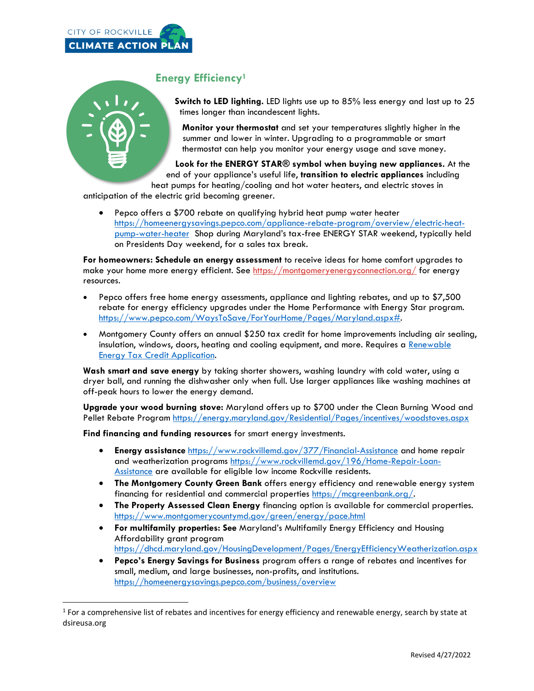



# **Energy Efficiency<sup>1</sup>**

**Switch to LED lighting.** LED lights use up to 85% less energy and last up to 25 times longer than incandescent lights.

**Monitor your thermostat** and set your temperatures slightly higher in the summer and lower in winter. Upgrading to a programmable or smart thermostat can help you monitor your energy usage and save money.

**Look for the ENERGY STAR® symbol when buying new appliances.** At the end of your appliance's useful life, **transition to electric appliances** including heat pumps for heating/cooling and hot water heaters, and electric stoves in

anticipation of the electric grid becoming greener.

• Pepco offers a \$700 rebate on qualifying hybrid heat pump water heater [https://homeenergysavings.pepco.com/appliance-rebate-program/overview/electric-heat](https://homeenergysavings.pepco.com/appliance-rebate-program/overview/electric-heat-pump-water-heater)[pump-water-heater](https://homeenergysavings.pepco.com/appliance-rebate-program/overview/electric-heat-pump-water-heater) Shop during Maryland's tax-free ENERGY STAR weekend, typically held on Presidents Day weekend, for a sales tax break.

**For homeowners: Schedule an energy assessment** to receive ideas for home comfort upgrades to make your home more energy efficient. See<https://montgomeryenergyconnection.org/> for energy resources.

- Pepco offers free home energy assessments, appliance and lighting rebates, and up to \$7,500 rebate for energy efficiency upgrades under the Home Performance with Energy Star program. [https://www.pepco.com/WaysToSave/ForYourHome/Pages/Maryland.aspx#.](https://www.pepco.com/WaysToSave/ForYourHome/Pages/Maryland.aspx)
- Montgomery County offers an annual \$250 tax credit for home improvements including air sealing, insulation, windows, doors, heating and cooling equipment, and more. Requires a Renewable [Energy Tax Credit Application.](http://www.montgomerycountymd.gov/Finance/Resources/Files/data/taxes/renewable_energy_tax_credit_application.pdf)

**Wash smart and save energy** by taking shorter showers, washing laundry with cold water, using a dryer ball, and running the dishwasher only when full. Use larger appliances like washing machines at off-peak hours to lower the energy demand.

**Upgrade your wood burning stove:** Maryland offers up to \$700 under the Clean Burning Wood and Pellet Rebate Program<https://energy.maryland.gov/Residential/Pages/incentives/woodstoves.aspx>

**Find financing and funding resources** for smart energy investments.

- **Energy assistance** <https://www.rockvillemd.gov/377/Financial-Assistance> and home repair and weatherization programs [https://www.rockvillemd.gov/196/Home-Repair-Loan-](https://www.rockvillemd.gov/196/Home-Repair-Loan-Assistance)[Assistance](https://www.rockvillemd.gov/196/Home-Repair-Loan-Assistance) are available for eligible low income Rockville residents.
- **The Montgomery County Green Bank** offers energy efficiency and renewable energy system financing for residential and commercial properties [https://mcgreenbank.org/.](https://mcgreenbank.org/)
- **The Property Assessed Clean Energy** financing option is available for commercial properties. <https://www.montgomerycountymd.gov/green/energy/pace.html>
- **For multifamily properties: See** Maryland's Multifamily Energy Efficiency and Housing Affordability grant program <https://dhcd.maryland.gov/HousingDevelopment/Pages/EnergyEfficiencyWeatherization.aspx>
- **Pepco's Energy Savings for Business** program offers a range of rebates and incentives for small, medium, and large businesses, non-profits, and institutions. <https://homeenergysavings.pepco.com/business/overview>

 $1$  For a comprehensive list of rebates and incentives for energy efficiency and renewable energy, search by state at dsireusa.org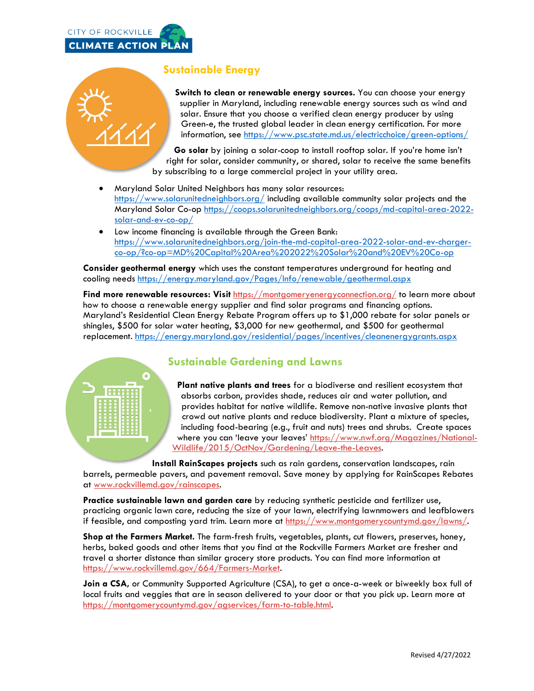



# **Sustainable Energy**

**Switch to clean or renewable energy sources.** You can choose your energy supplier in Maryland, including renewable energy sources such as wind and solar. Ensure that you choose a verified clean energy producer by using Green-e, the trusted global leader in clean energy certification. For more information, see<https://www.psc.state.md.us/electricchoice/green-options/>

**Go solar** by joining a solar-coop to install rooftop solar. If you're home isn't right for solar, consider community, or shared, solar to receive the same benefits by subscribing to a large commercial project in your utility area.

- Maryland Solar United Neighbors has many solar resources: <https://www.solarunitedneighbors.org/> including available community solar projects and the Maryland Solar Co-op [https://coops.solarunitedneighbors.org/coops/md-capital-area-2022](https://coops.solarunitedneighbors.org/coops/md-capital-area-2022-solar-and-ev-co-op/) [solar-and-ev-co-op/](https://coops.solarunitedneighbors.org/coops/md-capital-area-2022-solar-and-ev-co-op/)
- Low income financing is available through the Green Bank: [https://www.solarunitedneighbors.org/join-the-md-capital-area-2022-solar-and-ev-charger](https://www.solarunitedneighbors.org/join-the-md-capital-area-2022-solar-and-ev-charger-co-op/?co-op=MD%20Capital%20Area%202022%20Solar%20and%20EV%20Co-op)[co-op/?co-op=MD%20Capital%20Area%202022%20Solar%20and%20EV%20Co-op](https://www.solarunitedneighbors.org/join-the-md-capital-area-2022-solar-and-ev-charger-co-op/?co-op=MD%20Capital%20Area%202022%20Solar%20and%20EV%20Co-op)

**Consider geothermal energy** which uses the constant temperatures underground for heating and cooling needs <https://energy.maryland.gov/Pages/Info/renewable/geothermal.aspx>

**Find more renewable resources: Visit** <https://montgomeryenergyconnection.org/> to learn more about how to choose a renewable energy supplier and find solar programs and financing options. Maryland's Residential Clean Energy Rebate Program offers up to \$1,000 rebate for solar panels or shingles, \$500 for solar water heating, \$3,000 for new geothermal, and \$500 for geothermal replacement.<https://energy.maryland.gov/residential/pages/incentives/cleanenergygrants.aspx>



**Plant native plants and trees** for a biodiverse and resilient ecosystem that absorbs carbon, provides shade, reduces air and water pollution, and provides habitat for native wildlife. Remove non-native invasive plants that crowd out native plants and reduce biodiversity. Plant a mixture of species, including food-bearing (e.g., fruit and nuts) trees and shrubs. Create spaces where you can 'leave your leaves' [https://www.nwf.org/Magazines/National-](https://www.nwf.org/Magazines/National-Wildlife/2015/OctNov/Gardening/Leave-the-Leaves)[Wildlife/2015/OctNov/Gardening/Leave-the-Leaves.](https://www.nwf.org/Magazines/National-Wildlife/2015/OctNov/Gardening/Leave-the-Leaves)

**Install RainScapes projects** such as rain gardens, conservation landscapes, rain barrels, permeable pavers, and pavement removal. Save money by applying for RainScapes Rebates at [www.rockvillemd.gov/rainscapes.](http://www.rockvillemd.gov/rainscapes)

**Practice sustainable lawn and garden care** by reducing synthetic pesticide and fertilizer use, practicing organic lawn care, reducing the size of your lawn, electrifying lawnmowers and leafblowers if feasible, and composting yard trim. Learn more at [https://www.montgomerycountymd.gov/lawns/.](https://www.montgomerycountymd.gov/lawns/)

**Shop at the Farmers Market.** The farm-fresh fruits, vegetables, plants, cut flowers, preserves, honey, herbs, baked goods and other items that you find at the Rockville Farmers Market are fresher and travel a shorter distance than similar grocery store products. You can find more information at [https://www.rockvillemd.gov/664/Farmers-Market.](https://www.rockvillemd.gov/664/Farmers-Market)

**Join a CSA,** or Community Supported Agriculture (CSA), to get a once-a-week or biweekly box full of local fruits and veggies that are in season delivered to your door or that you pick up. Learn more at [https://montgomerycountymd.gov/agservices/farm-to-table.html.](https://montgomerycountymd.gov/agservices/farm-to-table.html)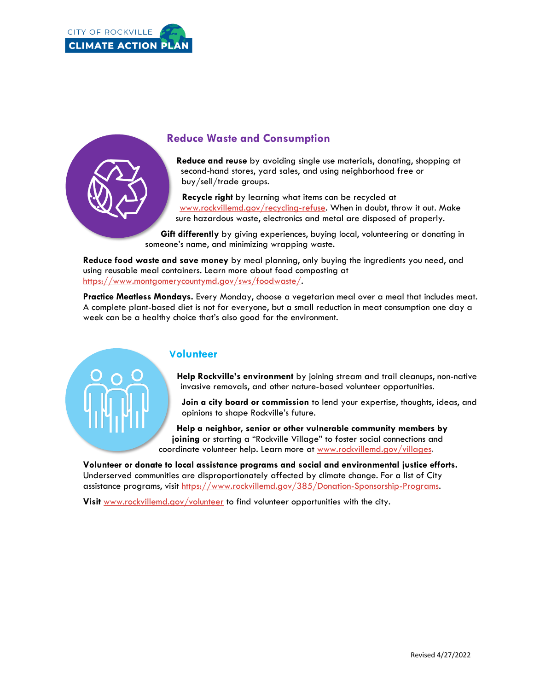



## **Reduce Waste and Consumption**

**Reduce and reuse** by avoiding single use materials, donating, shopping at second-hand stores, yard sales, and using neighborhood free or buy/sell/trade groups.

**Recycle right** by learning what items can be recycled at [www.rockvillemd.gov/recycling-refuse.](http://www.rockvillemd.gov/recycling-refuse) When in doubt, throw it out. Make sure hazardous waste, electronics and metal are disposed of properly.

**Gift differently** by giving experiences, buying local, volunteering or donating in someone's name, and minimizing wrapping waste.

**Reduce food waste and save money** by meal planning, only buying the ingredients you need, and using reusable meal containers. Learn more about food composting at [https://www.montgomerycountymd.gov/sws/foodwaste/.](https://www.montgomerycountymd.gov/sws/foodwaste/)

**Practice Meatless Mondays.** Every Monday, choose a vegetarian meal over a meal that includes meat. A complete plant-based diet is not for everyone, but a small reduction in meat consumption one day a week can be a healthy choice that's also good for the environment.

#### **Volunteer**

**Help Rockville's environment** by joining stream and trail cleanups, non-native invasive removals, and other nature-based volunteer opportunities.

**Join a city board or commission** to lend your expertise, thoughts, ideas, and opinions to shape Rockville's future.

**Help a neighbor, senior or other vulnerable community members by joining** or starting a "Rockville Village" to foster social connections and coordinate volunteer help. Learn more at [www.rockvillemd.gov/villages.](http://www.rockvillemd.gov/villages)

**Volunteer or donate to local assistance programs and social and environmental justice efforts.**  Underserved communities are disproportionately affected by climate change. For a list of City assistance programs, visit [https://www.rockvillemd.gov/385/Donation-Sponsorship-Programs.](https://www.rockvillemd.gov/385/Donation-Sponsorship-Programs)

**Visit** [www.rockvillemd.gov/volunteer](http://www.rockvillemd.gov/volunteer) to find volunteer opportunities with the city.